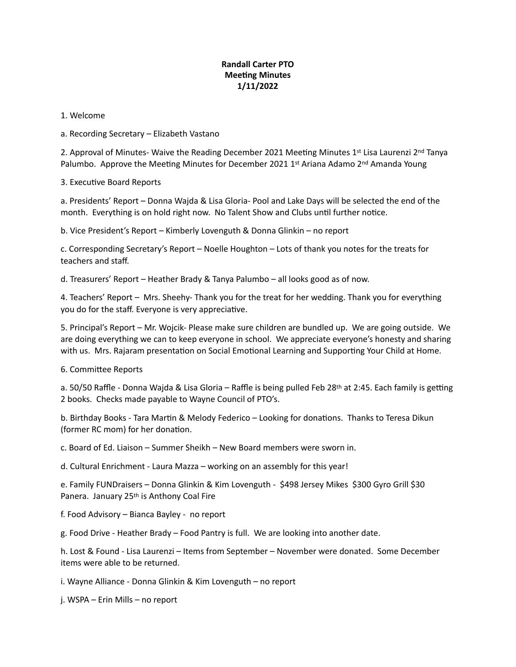## **Randall Carter PTO Meeting Minutes 1/11/2022**

## 1. Welcome

a. Recording Secretary – Elizabeth Vastano

2. Approval of Minutes- Waive the Reading December 2021 Meeting Minutes 1<sup>st</sup> Lisa Laurenzi 2<sup>nd</sup> Tanya Palumbo. Approve the Meeting Minutes for December 2021 1st Ariana Adamo 2<sup>nd</sup> Amanda Young

3. Executive Board Reports

a. Presidents' Report – Donna Wajda & Lisa Gloria- Pool and Lake Days will be selected the end of the month. Everything is on hold right now. No Talent Show and Clubs until further notice.

b. Vice President's Report – Kimberly Lovenguth & Donna Glinkin – no report

c. Corresponding Secretary's Report – Noelle Houghton – Lots of thank you notes for the treats for teachers and staff.

d. Treasurers' Report – Heather Brady & Tanya Palumbo – all looks good as of now.

4. Teachers' Report – Mrs. Sheehy- Thank you for the treat for her wedding. Thank you for everything you do for the staff. Everyone is very appreciative.

5. Principal's Report – Mr. Wojcik- Please make sure children are bundled up. We are going outside. We are doing everything we can to keep everyone in school. We appreciate everyone's honesty and sharing with us. Mrs. Rajaram presentation on Social Emotional Learning and Supporting Your Child at Home.

6. Committee Reports

a. 50/50 Raffle - Donna Wajda & Lisa Gloria – Raffle is being pulled Feb 28<sup>th</sup> at 2:45. Each family is getting 2 books. Checks made payable to Wayne Council of PTO's.

b. Birthday Books - Tara Martin & Melody Federico - Looking for donations. Thanks to Teresa Dikun (former RC mom) for her donation.

c. Board of Ed. Liaison – Summer Sheikh – New Board members were sworn in.

d. Cultural Enrichment - Laura Mazza – working on an assembly for this year!

e. Family FUNDraisers – Donna Glinkin & Kim Lovenguth - \$498 Jersey Mikes \$300 Gyro Grill \$30 Panera. January 25<sup>th</sup> is Anthony Coal Fire

f. Food Advisory – Bianca Bayley - no report

g. Food Drive - Heather Brady – Food Pantry is full. We are looking into another date.

h. Lost & Found - Lisa Laurenzi – Items from September – November were donated. Some December items were able to be returned.

i. Wayne Alliance - Donna Glinkin & Kim Lovenguth – no report

j. WSPA – Erin Mills – no report